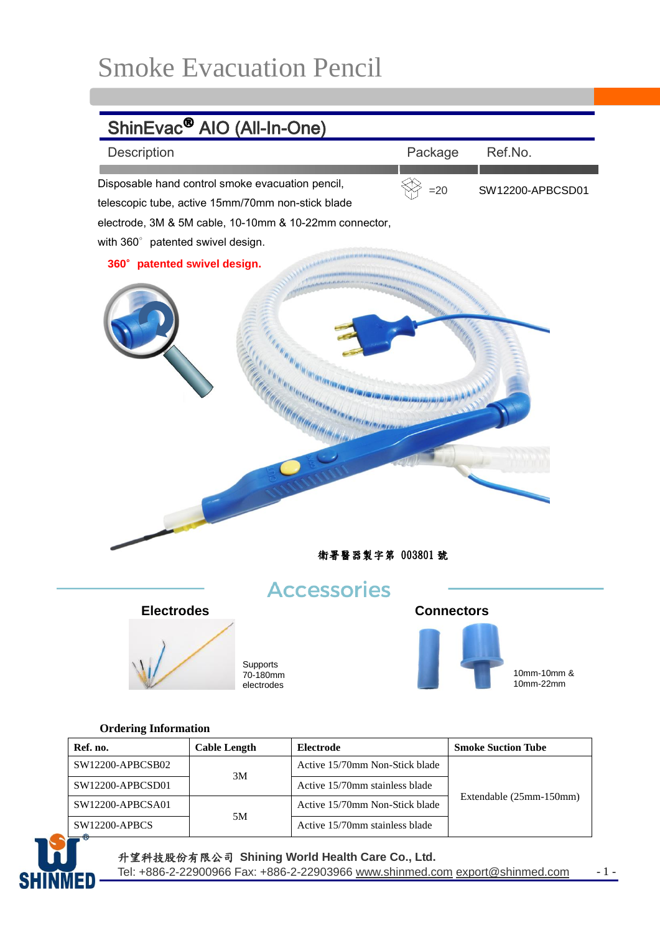## Smoke Evacuation Pencil



## **Ordering Information**

| Ref. no.             | <b>Cable Length</b> | Electrode                      | <b>Smoke Suction Tube</b> |
|----------------------|---------------------|--------------------------------|---------------------------|
| SW12200-APBCSB02     | 3M                  | Active 15/70mm Non-Stick blade | Extendable (25mm-150mm)   |
| SW12200-APBCSD01     |                     | Active 15/70mm stainless blade |                           |
| $SW12200-APBCSA01$   | 5M                  | Active 15/70mm Non-Stick blade |                           |
| <b>SW12200-APBCS</b> |                     | Active 15/70mm stainless blade |                           |



升望科技股份有限公司 **Shining World Health Care Co., Ltd.** 

Tel: +886-2-22900966 Fax: +886-2-22903966 [www.shinmed.com](http://www.shinmed.com/) [export@shinmed.com](mailto:export@shinmed.com) - 1 -